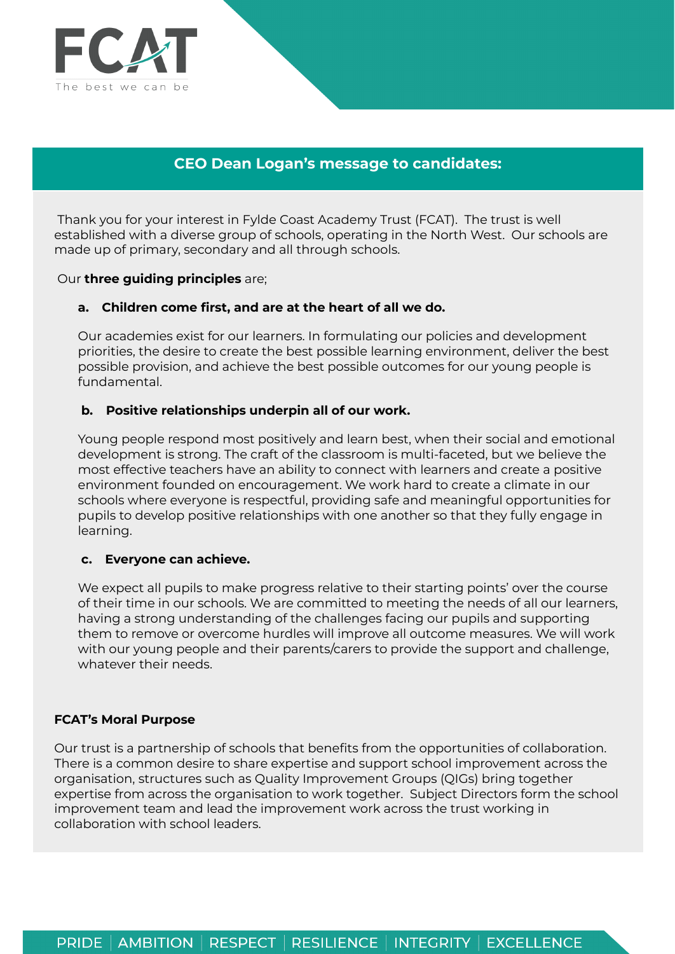

# **CEO Dean Logan's message to candidates:**

Thank you for your interest in Fylde Coast Academy Trust (FCAT). The trust is well established with a diverse group of schools, operating in the North West. Our schools are made up of primary, secondary and all through schools.

### Our **three guiding principles** are;

## **a. Children come first, and are at the heart of all we do.**

Our academies exist for our learners. In formulating our policies and development priorities, the desire to create the best possible learning environment, deliver the best possible provision, and achieve the best possible outcomes for our young people is fundamental.

## **b. Positive relationships underpin all of our work.**

Young people respond most positively and learn best, when their social and emotional development is strong. The craft of the classroom is multi-faceted, but we believe the most effective teachers have an ability to connect with learners and create a positive environment founded on encouragement. We work hard to create a climate in our schools where everyone is respectful, providing safe and meaningful opportunities for pupils to develop positive relationships with one another so that they fully engage in learning.

### **c. Everyone can achieve.**

We expect all pupils to make progress relative to their starting points' over the course of their time in our schools. We are committed to meeting the needs of all our learners, having a strong understanding of the challenges facing our pupils and supporting them to remove or overcome hurdles will improve all outcome measures. We will work with our young people and their parents/carers to provide the support and challenge, whatever their needs.

### **FCAT's Moral Purpose**

Our trust is a partnership of schools that benefits from the opportunities of collaboration. There is a common desire to share expertise and support school improvement across the organisation, structures such as Quality Improvement Groups (QIGs) bring together expertise from across the organisation to work together. Subject Directors form the school improvement team and lead the improvement work across the trust working in collaboration with school leaders.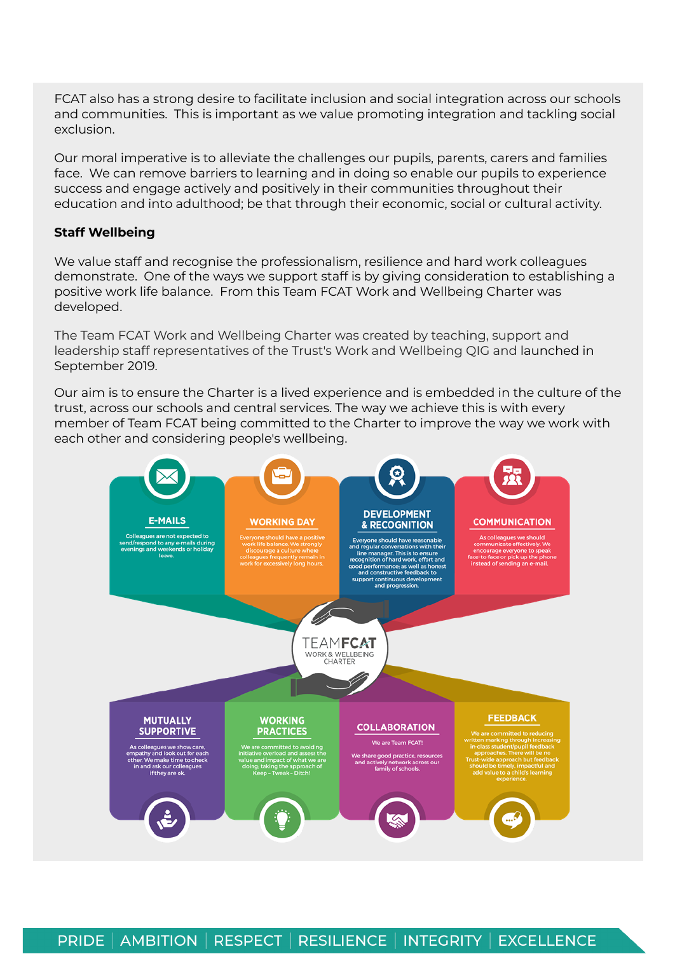FCAT also has a strong desire to facilitate inclusion and social integration across our schools and communities. This is important as we value promoting integration and tackling social exclusion.

Our moral imperative is to alleviate the challenges our pupils, parents, carers and families face. We can remove barriers to learning and in doing so enable our pupils to experience success and engage actively and positively in their communities throughout their education and into adulthood; be that through their economic, social or cultural activity.

## **Staff Wellbeing**

We value staff and recognise the professionalism, resilience and hard work colleagues demonstrate. One of the ways we support staff is by giving consideration to establishing a positive work life balance. From this Team FCAT Work and Wellbeing Charter was developed.

The Team FCAT Work and Wellbeing Charter was created by teaching, support and leadership staff representatives of the Trust's Work and Wellbeing QIG and launched in September 2019.

Our aim is to ensure the Charter is a lived experience and is embedded in the culture of the trust, across our schools and central services. The way we achieve this is with every member of Team FCAT being committed to the Charter to improve the way we work with each other and considering people's wellbeing.